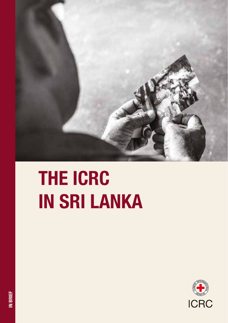

# THE ICRC IN SRI LANKA

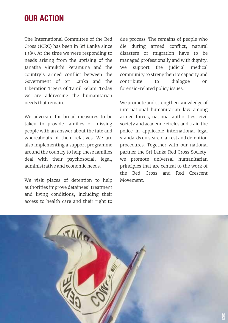#### OUR ACTION

The International Committee of the Red Cross (ICRC) has been in Sri Lanka since 1989. At the time we were responding to needs arising from the uprising of the Janatha Vimukthi Peramuna and the country's armed conflict between the Government of Sri Lanka and the Liberation Tigers of Tamil Eelam. Today we are addressing the humanitarian needs that remain.

We advocate for broad measures to be taken to provide families of missing people with an answer about the fate and whereabouts of their relatives. We are also implementing a support programme around the country to help these families deal with their psychosocial, legal, administrative and economic needs.

We visit places of detention to help authorities improve detainees' treatment and living conditions, including their access to health care and their right to

due process. The remains of people who die during armed conflict, natural disasters or migration have to be managed professionally and with dignity. We support the judicial medical community to strengthen its capacity and contribute to dialogue on forensic-related policy issues.

We promote and strengthen knowledge of international humanitarian law among armed forces, national authorities, civil society and academic circles and train the police in applicable international legal standards on search, arrest and detention procedures. Together with our national partner the Sri Lanka Red Cross Society, we promote universal humanitarian principles that are central to the work of the Red Cross and Red Crescent Movement.

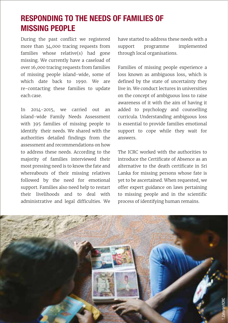## RESPONDING TO THE NEEDS OF FAMILIES OF MISSING PEOPLE

During the past conflict we registered more than 34,000 tracing requests from families whose relative(s) had gone missing. We currently have a caseload of over 16,000 tracing requests from families of missing people island-wide, some of which date back to 1990. We are re-contacting these families to update each case.

In 2014-2015, we carried out an island-wide Family Needs Assessment with 395 families of missing people to identify their needs. We shared with the authorities detailed findings from the assessment and recommendations on how to address these needs. According to the majority of families interviewed their most pressing need is to know the fate and whereabouts of their missing relatives followed by the need for emotional support. Families also need help to restart their livelihoods and to deal with administrative and legal difficulties. We have started to address these needs with a support programme implemented through local organisations.

Families of missing people experience a loss known as ambiguous loss, which is defined by the state of uncertainty they live in. We conduct lectures in universities on the concept of ambiguous loss to raise awareness of it with the aim of having it added to psychology and counselling curricula. Understanding ambiguous loss is essential to provide families emotional support to cope while they wait for answers.

The ICRC worked with the authorities to introduce the Certificate of Absence as an alternative to the death certificate in Sri Lanka for missing persons whose fate is yet to be ascertained. When requested, we offer expert guidance on laws pertaining to missing people and in the scientific process of identifying human remains.

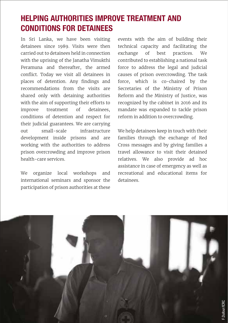## HELPING AUTHORITIES IMPROVE TREATMENT AND CONDITIONS FOR DETAINEES

In Sri Lanka, we have been visiting detainees since 1989. Visits were then carried out to detainees held in connection with the uprising of the Janatha Vimukthi Peramuna and thereafter, the armed conflict. Today we visit all detainees in places of detention. Any findings and recommendations from the visits are shared only with detaining authorities with the aim of supporting their efforts to improve treatment of detainees, conditions of detention and respect for their judicial guarantees. We are carrying out small-scale infrastructure development inside prisons and are working with the authorities to address prison overcrowding and improve prison health-care services.

We organize local workshops and international seminars and sponsor the participation of prison authorities at these events with the aim of building their technical capacity and facilitating the exchange of best practices. We contributed to establishing a national task force to address the legal and judicial causes of prison overcrowding. The task force, which is co-chaired by the Secretaries of the Ministry of Prison Reform and the Ministry of Justice, was recognized by the cabinet in 2016 and its mandate was expanded to tackle prison reform in addition to overcrowding.

We help detainees keep in touch with their families through the exchange of Red Cross messages and by giving families a travel allowance to visit their detained relatives. We also provide ad hoc assistance in case of emergency as well as recreational and educational items for detainees.

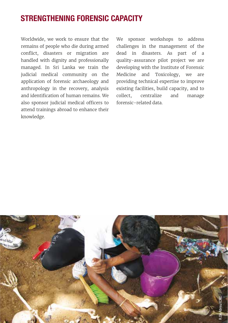### STRENGTHENING FORENSIC CAPACITY

Worldwide, we work to ensure that the remains of people who die during armed conflict, disasters or migration are handled with dignity and professionally managed. In Sri Lanka we train the judicial medical community on the application of forensic archaeology and anthropology in the recovery, analysis and identification of human remains. We also sponsor judicial medical officers to attend trainings abroad to enhance their knowledge.

We sponsor workshops to address challenges in the management of the dead in disasters. As part of a quality-assurance pilot project we are developing with the Institute of Forensic Medicine and Toxicology, we are providing technical expertise to improve existing facilities, build capacity, and to collect, centralize and manage forensic-related data.

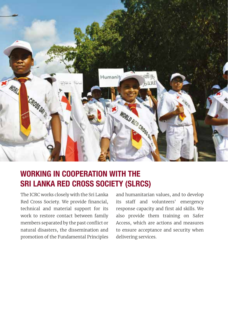

### WORKING IN COOPERATION WITH THE SRI LANKA RED CROSS SOCIETY (SLRCS)

The ICRC works closely with the Sri Lanka Red Cross Society. We provide financial, technical and material support for its work to restore contact between family members separated by the past conflict or natural disasters, the dissemination and promotion of the Fundamental Principles and humanitarian values, and to develop its staff and volunteers' emergency response capacity and first aid skills. We also provide them training on Safer Access, which are actions and measures to ensure acceptance and security when delivering services.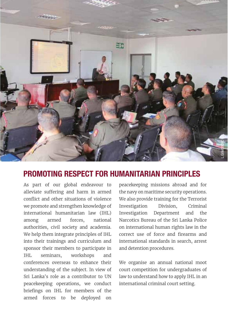

#### PROMOTING RESPECT FOR HUMANITARIAN PRINCIPLES

As part of our global endeavour to alleviate suffering and harm in armed conflict and other situations of violence we promote and strengthen knowledge of international humanitarian law (IHL) among armed forces, national authorities, civil society and academia. We help them integrate principles of IHL into their trainings and curriculum and sponsor their members to participate in IHL seminars, workshops and conferences overseas to enhance their understanding of the subject. In view of Sri Lanka's role as a contributor to UN peacekeeping operations, we conduct briefings on IHL for members of the armed forces to be deployed on

peacekeeping missions abroad and for the navy on maritime security operations. We also provide training for the Terrorist Investigation Division, Criminal Investigation Department and the Narcotics Bureau of the Sri Lanka Police on international human rights law in the correct use of force and firearms and international standards in search, arrest and detention procedures.

We organise an annual national moot court competition for undergraduates of law to understand how to apply IHL in an international criminal court setting.